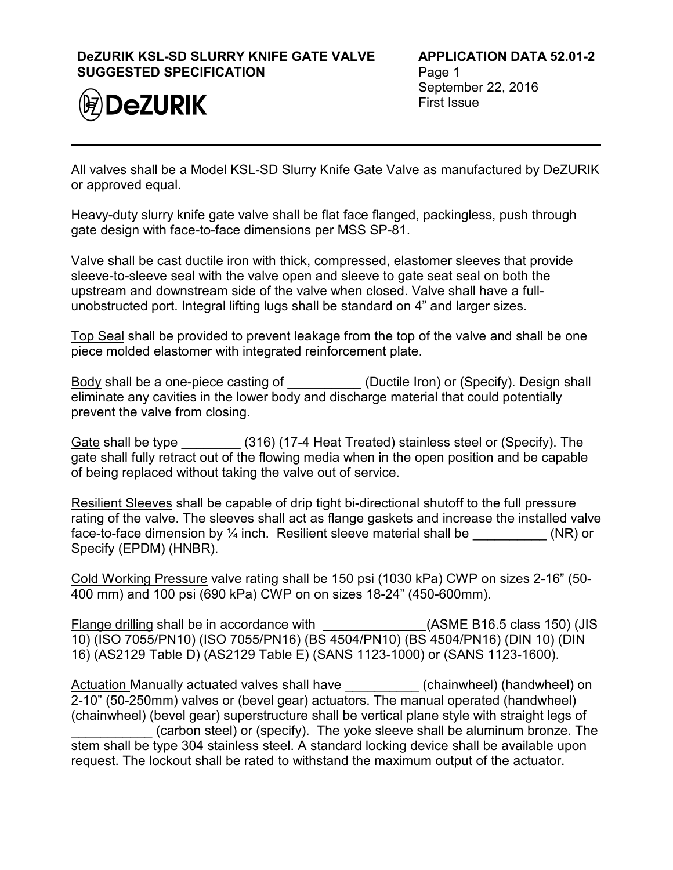## **DeZURIK KSL-SD SLURRY KNIFE GATE VALVE SUGGESTED SPECIFICATION**



**APPLICATION DATA 52.01-2** Page 1 September 22, 2016 First Issue

All valves shall be a Model KSL-SD Slurry Knife Gate Valve as manufactured by DeZURIK or approved equal.

Heavy-duty slurry knife gate valve shall be flat face flanged, packingless, push through gate design with face-to-face dimensions per MSS SP-81.

Valve shall be cast ductile iron with thick, compressed, elastomer sleeves that provide sleeve-to-sleeve seal with the valve open and sleeve to gate seat seal on both the upstream and downstream side of the valve when closed. Valve shall have a fullunobstructed port. Integral lifting lugs shall be standard on 4" and larger sizes.

Top Seal shall be provided to prevent leakage from the top of the valve and shall be one piece molded elastomer with integrated reinforcement plate.

Body shall be a one-piece casting of \_\_\_\_\_\_\_\_\_\_\_ (Ductile Iron) or (Specify). Design shall eliminate any cavities in the lower body and discharge material that could potentially prevent the valve from closing.

Gate shall be type  $(316)$  (17-4 Heat Treated) stainless steel or (Specify). The gate shall fully retract out of the flowing media when in the open position and be capable of being replaced without taking the valve out of service.

Resilient Sleeves shall be capable of drip tight bi-directional shutoff to the full pressure rating of the valve. The sleeves shall act as flange gaskets and increase the installed valve face-to-face dimension by  $\frac{1}{4}$  inch. Resilient sleeve material shall be  $(NR)$  or Specify (EPDM) (HNBR).

Cold Working Pressure valve rating shall be 150 psi (1030 kPa) CWP on sizes 2-16" (50- 400 mm) and 100 psi (690 kPa) CWP on on sizes 18-24" (450-600mm).

Flange drilling shall be in accordance with (ASME B16.5 class 150) (JIS 10) (ISO 7055/PN10) (ISO 7055/PN16) (BS 4504/PN10) (BS 4504/PN16) (DIN 10) (DIN 16) (AS2129 Table D) (AS2129 Table E) (SANS 1123-1000) or (SANS 1123-1600).

Actuation Manually actuated valves shall have **the summent (chainwheel) (handwheel) on** 2-10" (50-250mm) valves or (bevel gear) actuators. The manual operated (handwheel) (chainwheel) (bevel gear) superstructure shall be vertical plane style with straight legs of (carbon steel) or (specify). The yoke sleeve shall be aluminum bronze. The stem shall be type 304 stainless steel. A standard locking device shall be available upon request. The lockout shall be rated to withstand the maximum output of the actuator.